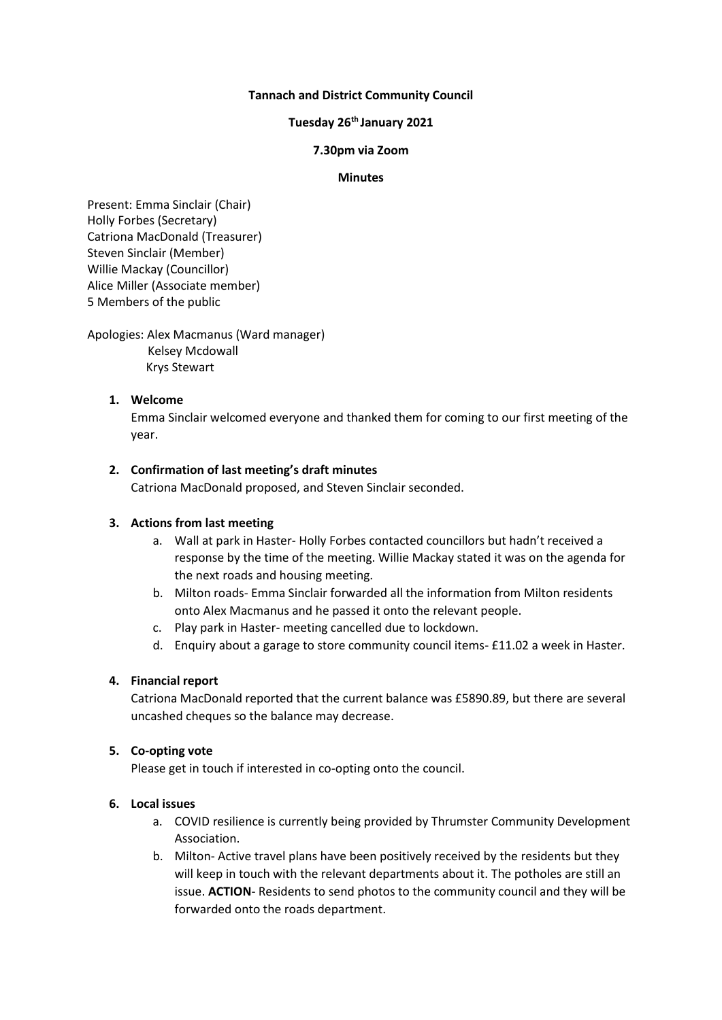## **Tannach and District Community Council**

# **Tuesday 26 th January 2021**

#### **7.30pm via Zoom**

#### **Minutes**

Present: Emma Sinclair (Chair) Holly Forbes (Secretary) Catriona MacDonald (Treasurer) Steven Sinclair (Member) Willie Mackay (Councillor) Alice Miller (Associate member) 5 Members of the public

Apologies: Alex Macmanus (Ward manager)

 Kelsey Mcdowall Krys Stewart

## **1. Welcome**

Emma Sinclair welcomed everyone and thanked them for coming to our first meeting of the year.

#### **2. Confirmation of last meeting's draft minutes**

Catriona MacDonald proposed, and Steven Sinclair seconded.

## **3. Actions from last meeting**

- a. Wall at park in Haster- Holly Forbes contacted councillors but hadn't received a response by the time of the meeting. Willie Mackay stated it was on the agenda for the next roads and housing meeting.
- b. Milton roads- Emma Sinclair forwarded all the information from Milton residents onto Alex Macmanus and he passed it onto the relevant people.
- c. Play park in Haster- meeting cancelled due to lockdown.
- d. Enquiry about a garage to store community council items- £11.02 a week in Haster.

## **4. Financial report**

Catriona MacDonald reported that the current balance was £5890.89, but there are several uncashed cheques so the balance may decrease.

## **5. Co-opting vote**

Please get in touch if interested in co-opting onto the council.

## **6. Local issues**

- a. COVID resilience is currently being provided by Thrumster Community Development Association.
- b. Milton- Active travel plans have been positively received by the residents but they will keep in touch with the relevant departments about it. The potholes are still an issue. **ACTION**- Residents to send photos to the community council and they will be forwarded onto the roads department.